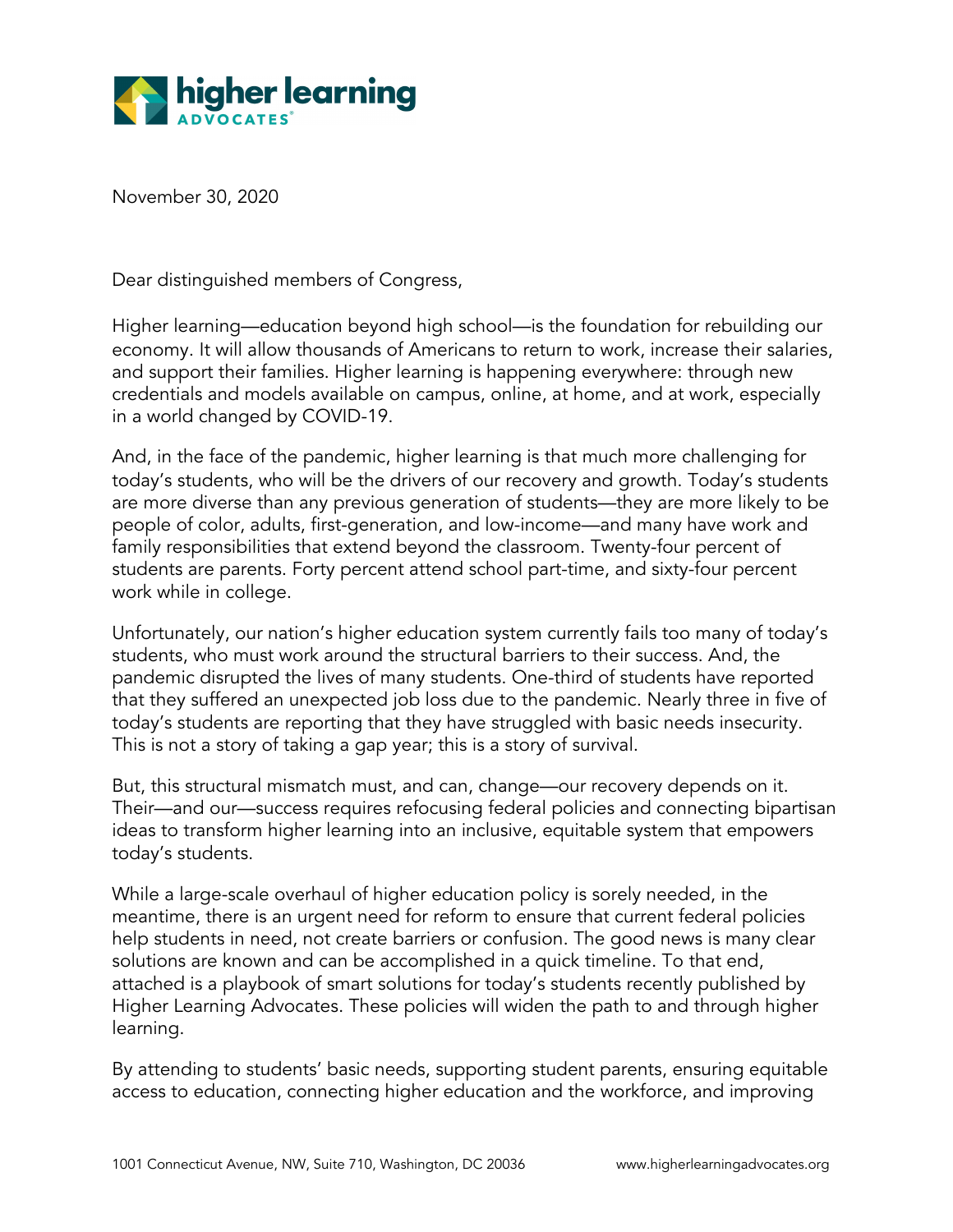

November 30, 2020

Dear distinguished members of Congress,

Higher learning—education beyond high school—is the foundation for rebuilding our economy. It will allow thousands of Americans to return to work, increase their salaries, and support their families. Higher learning is happening everywhere: through new credentials and models available on campus, online, at home, and at work, especially in a world changed by COVID-19.

And, in the face of the pandemic, higher learning is that much more challenging for today's students, who will be the drivers of our recovery and growth. Today's students are more diverse than any previous generation of students—they are more likely to be people of color, adults, first-generation, and low-income—and many have work and family responsibilities that extend beyond the classroom. Twenty-four percent of students are parents. Forty percent attend school part-time, and sixty-four percent work while in college.

Unfortunately, our nation's higher education system currently fails too many of today's students, who must work around the structural barriers to their success. And, the pandemic disrupted the lives of many students. One-third of students have reported that they suffered an unexpected job loss due to the pandemic. Nearly three in five of today's students are reporting that they have struggled with basic needs insecurity. This is not a story of taking a gap year; this is a story of survival.

But, this structural mismatch must, and can, change—our recovery depends on it. Their—and our—success requires refocusing federal policies and connecting bipartisan ideas to transform higher learning into an inclusive, equitable system that empowers today's students.

While a large-scale overhaul of higher education policy is sorely needed, in the meantime, there is an urgent need for reform to ensure that current federal policies help students in need, not create barriers or confusion. The good news is many clear solutions are known and can be accomplished in a quick timeline. To that end, attached is a playbook of smart solutions for today's students recently published by Higher Learning Advocates. These policies will widen the path to and through higher learning.

By attending to students' basic needs, supporting student parents, ensuring equitable access to education, connecting higher education and the workforce, and improving